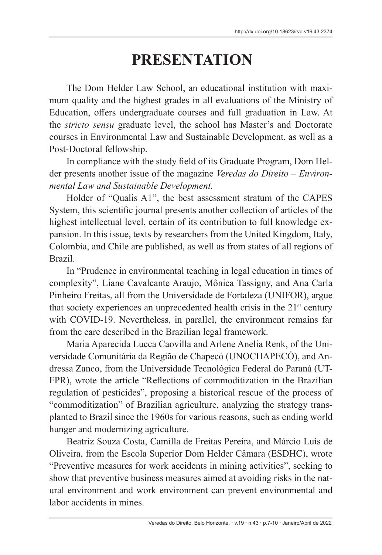## **PRESENTATION**

The Dom Helder Law School, an educational institution with maximum quality and the highest grades in all evaluations of the Ministry of Education, offers undergraduate courses and full graduation in Law. At the *stricto sensu* graduate level, the school has Master's and Doctorate courses in Environmental Law and Sustainable Development, as well as a Post-Doctoral fellowship.

In compliance with the study field of its Graduate Program, Dom Helder presents another issue of the magazine *Veredas do Direito – Environmental Law and Sustainable Development.*

Holder of "Qualis A1", the best assessment stratum of the CAPES System, this scientific journal presents another collection of articles of the highest intellectual level, certain of its contribution to full knowledge expansion. In this issue, texts by researchers from the United Kingdom, Italy, Colombia, and Chile are published, as well as from states of all regions of Brazil.

In "Prudence in environmental teaching in legal education in times of complexity", Liane Cavalcante Araujo, Mônica Tassigny, and Ana Carla Pinheiro Freitas, all from the Universidade de Fortaleza (UNIFOR), argue that society experiences an unprecedented health crisis in the  $21<sup>st</sup>$  century with COVID-19. Nevertheless, in parallel, the environment remains far from the care described in the Brazilian legal framework.

Maria Aparecida Lucca Caovilla and Arlene Anelia Renk, of the Universidade Comunitária da Região de Chapecó (UNOCHAPECÓ), and Andressa Zanco, from the Universidade Tecnológica Federal do Paraná (UT-FPR), wrote the article "Reflections of commoditization in the Brazilian regulation of pesticides", proposing a historical rescue of the process of "commoditization" of Brazilian agriculture, analyzing the strategy transplanted to Brazil since the 1960s for various reasons, such as ending world hunger and modernizing agriculture.

Beatriz Souza Costa, Camilla de Freitas Pereira, and Márcio Luís de Oliveira, from the Escola Superior Dom Helder Câmara (ESDHC), wrote "Preventive measures for work accidents in mining activities", seeking to show that preventive business measures aimed at avoiding risks in the natural environment and work environment can prevent environmental and labor accidents in mines.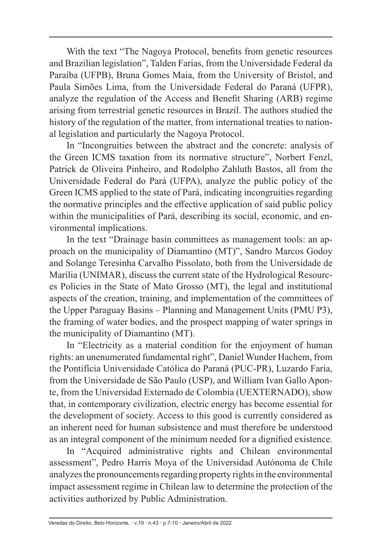With the text "The Nagoya Protocol, benefits from genetic resources and Brazilian legislation", Talden Farias, from the Universidade Federal da Paraíba (UFPB), Bruna Gomes Maia, from the University of Bristol, and Paula Simões Lima, from the Universidade Federal do Paraná (UFPR), analyze the regulation of the Access and Benefit Sharing (ARB) regime arising from terrestrial genetic resources in Brazil. The authors studied the history of the regulation of the matter, from international treaties to national legislation and particularly the Nagoya Protocol.

In "Incongruities between the abstract and the concrete: analysis of the Green ICMS taxation from its normative structure", Norbert Fenzl, Patrick de Oliveira Pinheiro, and Rodolpho Zahluth Bastos, all from the Universidade Federal do Pará (UFPA), analyze the public policy of the Green ICMS applied to the state of Pará, indicating incongruities regarding the normative principles and the effective application of said public policy within the municipalities of Pará, describing its social, economic, and environmental implications.

In the text "Drainage basin committees as management tools: an approach on the municipality of Diamantino (MT)", Sandro Marcos Godoy and Solange Teresinha Carvalho Pissolato, both from the Universidade de Marília (UNIMAR), discuss the current state of the Hydrological Resources Policies in the State of Mato Grosso (MT), the legal and institutional aspects of the creation, training, and implementation of the committees of the Upper Paraguay Basins – Planning and Management Units (PMU P3), the framing of water bodies, and the prospect mapping of water springs in the municipality of Diamantino (MT).

In "Electricity as a material condition for the enjoyment of human rights: an unenumerated fundamental right", Daniel Wunder Hachem, from the Pontifícia Universidade Católica do Paraná (PUC-PR), Luzardo Faria, from the Universidade de São Paulo (USP), and William Ivan Gallo Aponte, from the Universidad Externado de Colombia (UEXTERNADO), show that, in contemporary civilization, electric energy has become essential for the development of society. Access to this good is currently considered as an inherent need for human subsistence and must therefore be understood as an integral component of the minimum needed for a dignified existence.

In "Acquired administrative rights and Chilean environmental assessment", Pedro Harris Moya of the Universidad Autónoma de Chile analyzes the pronouncements regarding property rights in the environmental impact assessment regime in Chilean law to determine the protection of the activities authorized by Public Administration.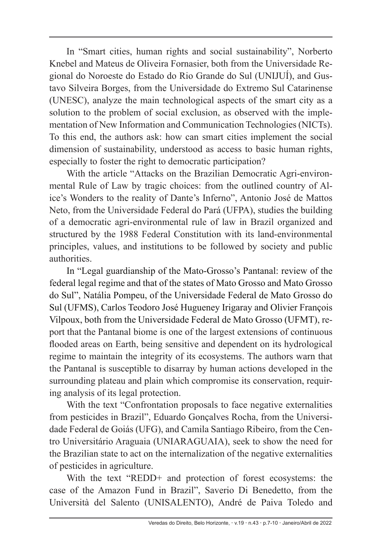In "Smart cities, human rights and social sustainability", Norberto Knebel and Mateus de Oliveira Fornasier, both from the Universidade Regional do Noroeste do Estado do Rio Grande do Sul (UNIJUÍ), and Gustavo Silveira Borges, from the Universidade do Extremo Sul Catarinense (UNESC), analyze the main technological aspects of the smart city as a solution to the problem of social exclusion, as observed with the implementation of New Information and Communication Technologies (NICTs). To this end, the authors ask: how can smart cities implement the social dimension of sustainability, understood as access to basic human rights, especially to foster the right to democratic participation?

With the article "Attacks on the Brazilian Democratic Agri-environmental Rule of Law by tragic choices: from the outlined country of Alice's Wonders to the reality of Dante's Inferno", Antonio José de Mattos Neto, from the Universidade Federal do Pará (UFPA), studies the building of a democratic agri-environmental rule of law in Brazil organized and structured by the 1988 Federal Constitution with its land-environmental principles, values, and institutions to be followed by society and public authorities.

In "Legal guardianship of the Mato-Grosso's Pantanal: review of the federal legal regime and that of the states of Mato Grosso and Mato Grosso do Sul", Natália Pompeu, of the Universidade Federal de Mato Grosso do Sul (UFMS), Carlos Teodoro José Hugueney Irigaray and Olivier François Vilpoux, both from the Universidade Federal de Mato Grosso (UFMT), report that the Pantanal biome is one of the largest extensions of continuous flooded areas on Earth, being sensitive and dependent on its hydrological regime to maintain the integrity of its ecosystems. The authors warn that the Pantanal is susceptible to disarray by human actions developed in the surrounding plateau and plain which compromise its conservation, requiring analysis of its legal protection.

With the text "Confrontation proposals to face negative externalities from pesticides in Brazil", Eduardo Gonçalves Rocha, from the Universidade Federal de Goiás (UFG), and Camila Santiago Ribeiro, from the Centro Universitário Araguaia (UNIARAGUAIA), seek to show the need for the Brazilian state to act on the internalization of the negative externalities of pesticides in agriculture.

With the text "REDD+ and protection of forest ecosystems: the case of the Amazon Fund in Brazil", Saverio Di Benedetto, from the Università del Salento (UNISALENTO), André de Paiva Toledo and